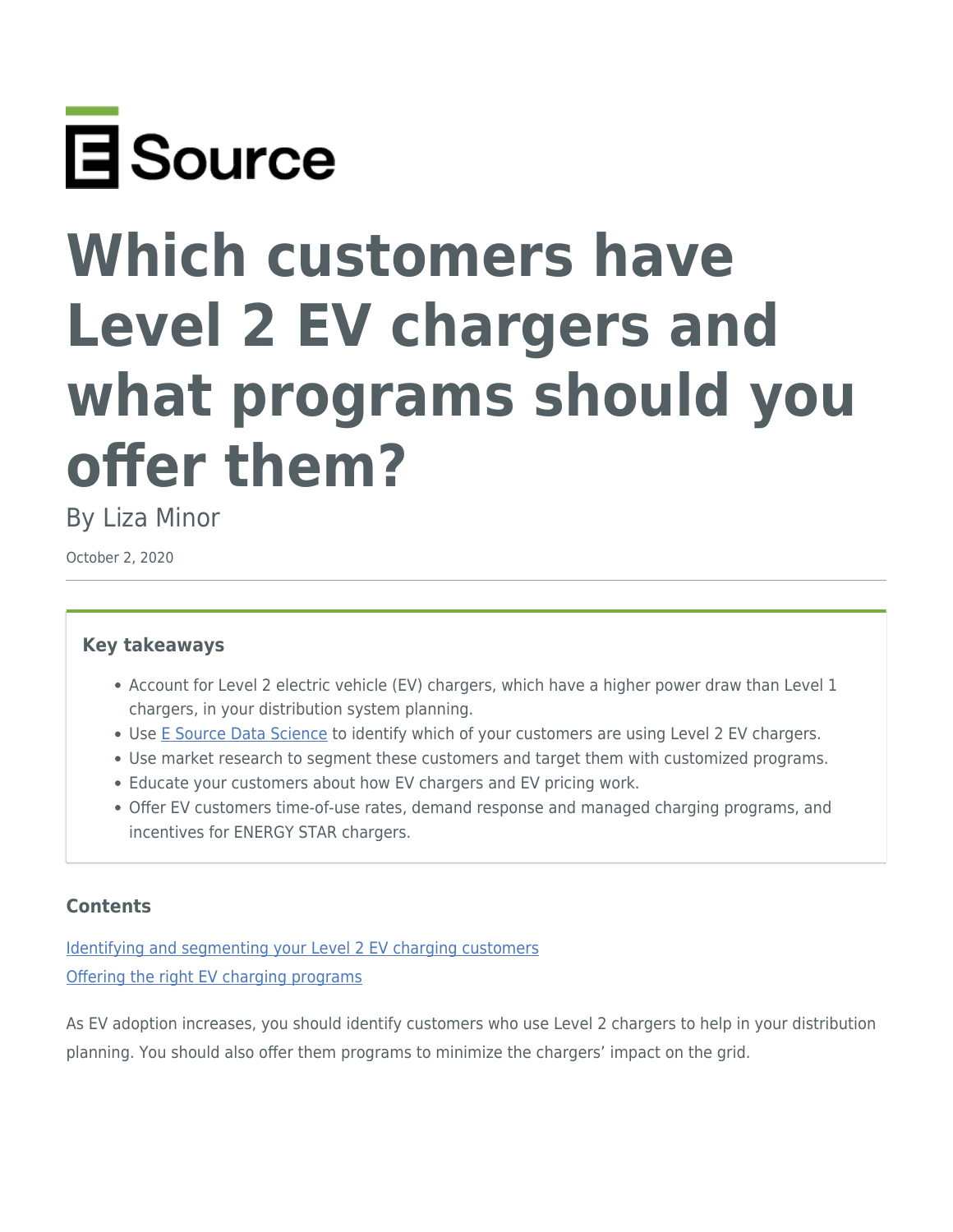

# **Which customers have Level 2 EV chargers and what programs should you offer them?**

By Liza Minor

October 2, 2020

## **Key takeaways**

- Account for Level 2 electric vehicle (EV) chargers, which have a higher power draw than Level 1 chargers, in your distribution system planning.
- Use [E Source Data Science](https://www.esource.com/data-science) to identify which of your customers are using Level 2 EV chargers.
- Use market research to segment these customers and target them with customized programs.
- Educate your customers about how EV chargers and EV pricing work.
- Offer EV customers time-of-use rates, demand response and managed charging programs, and incentives for ENERGY STAR chargers.

## **Contents**

[Identifying and segmenting your Level 2 EV charging customers](#page-0-0) [Offering the right EV charging programs](#page-3-0)

<span id="page-0-0"></span>As EV adoption increases, you should identify customers who use Level 2 chargers to help in your distribution planning. You should also offer them programs to minimize the chargers' impact on the grid.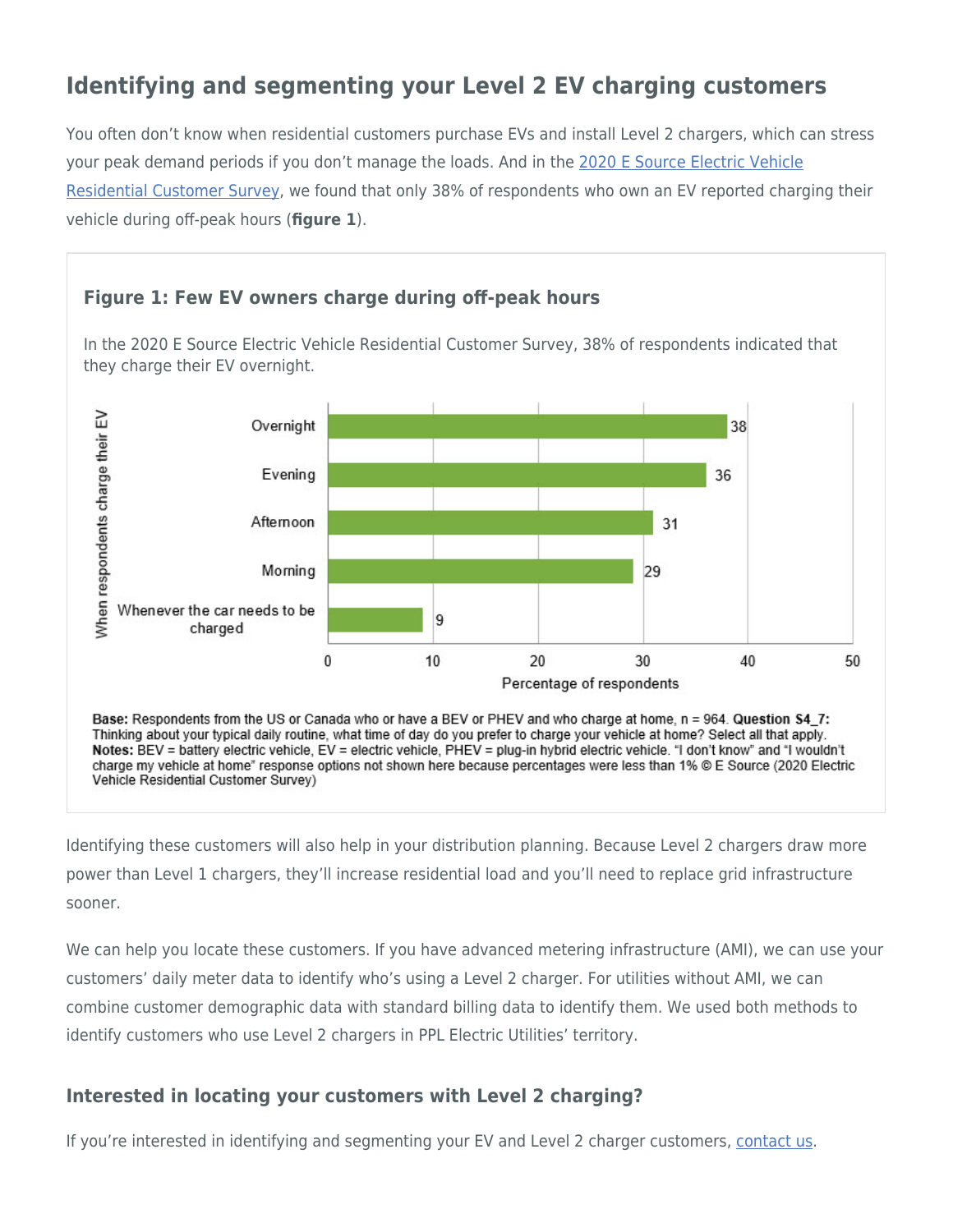## **Identifying and segmenting your Level 2 EV charging customers**

You often don't know when residential customers purchase EVs and install Level 2 chargers, which can stress your peak demand periods if you don't manage the loads. And in the [2020 E Source Electric Vehicle](https://www.esource.com/electric-vehicle-residential-customer-survey) [Residential Customer Survey,](https://www.esource.com/electric-vehicle-residential-customer-survey) we found that only 38% of respondents who own an EV reported charging their vehicle during off-peak hours (**figure 1**).



In the 2020 E Source Electric Vehicle Residential Customer Survey, 38% of respondents indicated that they charge their EV overnight.



Base: Respondents from the US or Canada who or have a BEV or PHEV and who charge at home, n = 964. Question S4\_7: Thinking about your typical daily routine, what time of day do you prefer to charge your vehicle at home? Select all that apply. Notes: BEV = battery electric vehicle, EV = electric vehicle, PHEV = plug-in hybrid electric vehicle. "I don't know" and "I wouldn't charge my vehicle at home" response options not shown here because percentages were less than 1% © E Source (2020 Electric Vehicle Residential Customer Survey)

Identifying these customers will also help in your distribution planning. Because Level 2 chargers draw more power than Level 1 chargers, they'll increase residential load and you'll need to replace grid infrastructure sooner.

We can help you locate these customers. If you have advanced metering infrastructure (AMI), we can use your customers' daily meter data to identify who's using a Level 2 charger. For utilities without AMI, we can combine customer demographic data with standard billing data to identify them. We used both methods to identify customers who use Level 2 chargers in PPL Electric Utilities' territory.

## **Interested in locating your customers with Level 2 charging?**

If you're interested in identifying and segmenting your EV and Level 2 charger customers, [contact us](https://www.esource.com/contact_customer_service?subject=Interested%20in%20Level%202%20charging%20data%20science).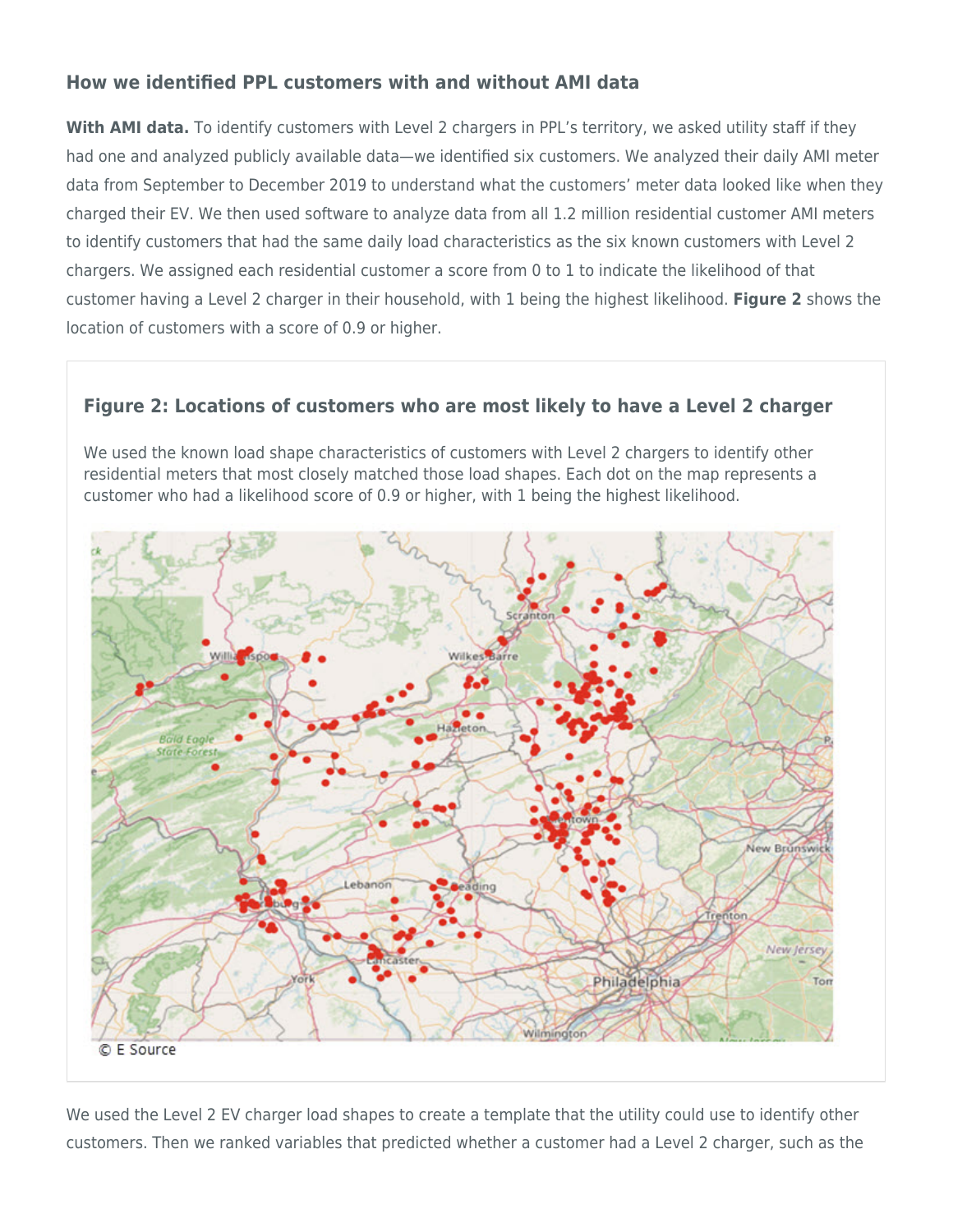## **How we identified PPL customers with and without AMI data**

**With AMI data.** To identify customers with Level 2 chargers in PPL's territory, we asked utility staff if they had one and analyzed publicly available data—we identified six customers. We analyzed their daily AMI meter data from September to December 2019 to understand what the customers' meter data looked like when they charged their EV. We then used software to analyze data from all 1.2 million residential customer AMI meters to identify customers that had the same daily load characteristics as the six known customers with Level 2 chargers. We assigned each residential customer a score from 0 to 1 to indicate the likelihood of that customer having a Level 2 charger in their household, with 1 being the highest likelihood. **Figure 2** shows the location of customers with a score of 0.9 or higher.

## **Figure 2: Locations of customers who are most likely to have a Level 2 charger**

We used the known load shape characteristics of customers with Level 2 chargers to identify other residential meters that most closely matched those load shapes. Each dot on the map represents a customer who had a likelihood score of 0.9 or higher, with 1 being the highest likelihood.



We used the Level 2 EV charger load shapes to create a template that the utility could use to identify other customers. Then we ranked variables that predicted whether a customer had a Level 2 charger, such as the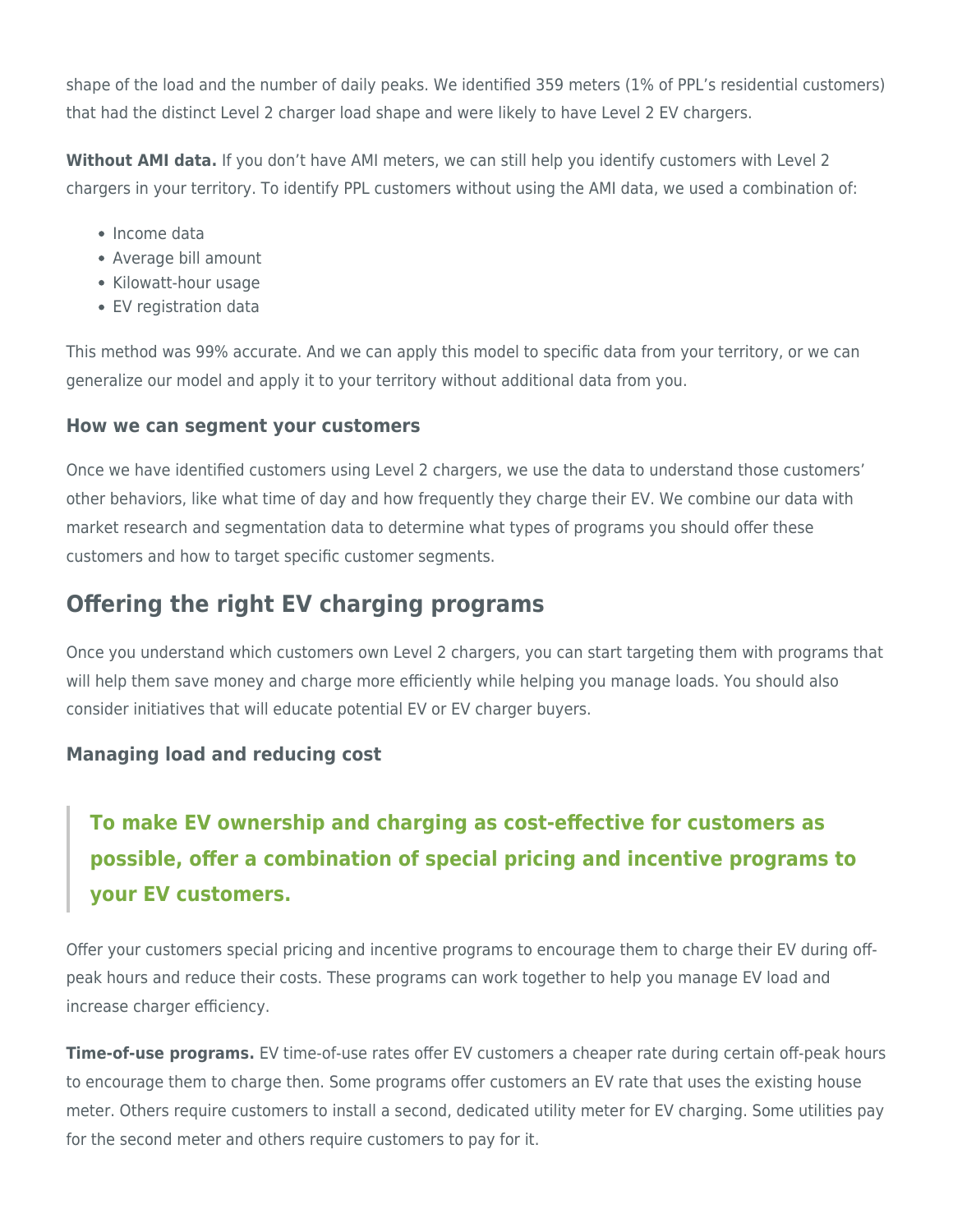shape of the load and the number of daily peaks. We identified 359 meters (1% of PPL's residential customers) that had the distinct Level 2 charger load shape and were likely to have Level 2 EV chargers.

**Without AMI data.** If you don't have AMI meters, we can still help you identify customers with Level 2 chargers in your territory. To identify PPL customers without using the AMI data, we used a combination of:

- Income data
- Average bill amount
- Kilowatt-hour usage
- EV registration data

This method was 99% accurate. And we can apply this model to specific data from your territory, or we can generalize our model and apply it to your territory without additional data from you.

## **How we can segment your customers**

Once we have identified customers using Level 2 chargers, we use the data to understand those customers' other behaviors, like what time of day and how frequently they charge their EV. We combine our data with market research and segmentation data to determine what types of programs you should offer these customers and how to target specific customer segments.

## <span id="page-3-0"></span>**Offering the right EV charging programs**

Once you understand which customers own Level 2 chargers, you can start targeting them with programs that will help them save money and charge more efficiently while helping you manage loads. You should also consider initiatives that will educate potential EV or EV charger buyers.

## **Managing load and reducing cost**

## **To make EV ownership and charging as cost-effective for customers as possible, offer a combination of special pricing and incentive programs to your EV customers.**

Offer your customers special pricing and incentive programs to encourage them to charge their EV during offpeak hours and reduce their costs. These programs can work together to help you manage EV load and increase charger efficiency.

**Time-of-use programs.** EV time-of-use rates offer EV customers a cheaper rate during certain off-peak hours to encourage them to charge then. Some programs offer customers an EV rate that uses the existing house meter. Others require customers to install a second, dedicated utility meter for EV charging. Some utilities pay for the second meter and others require customers to pay for it.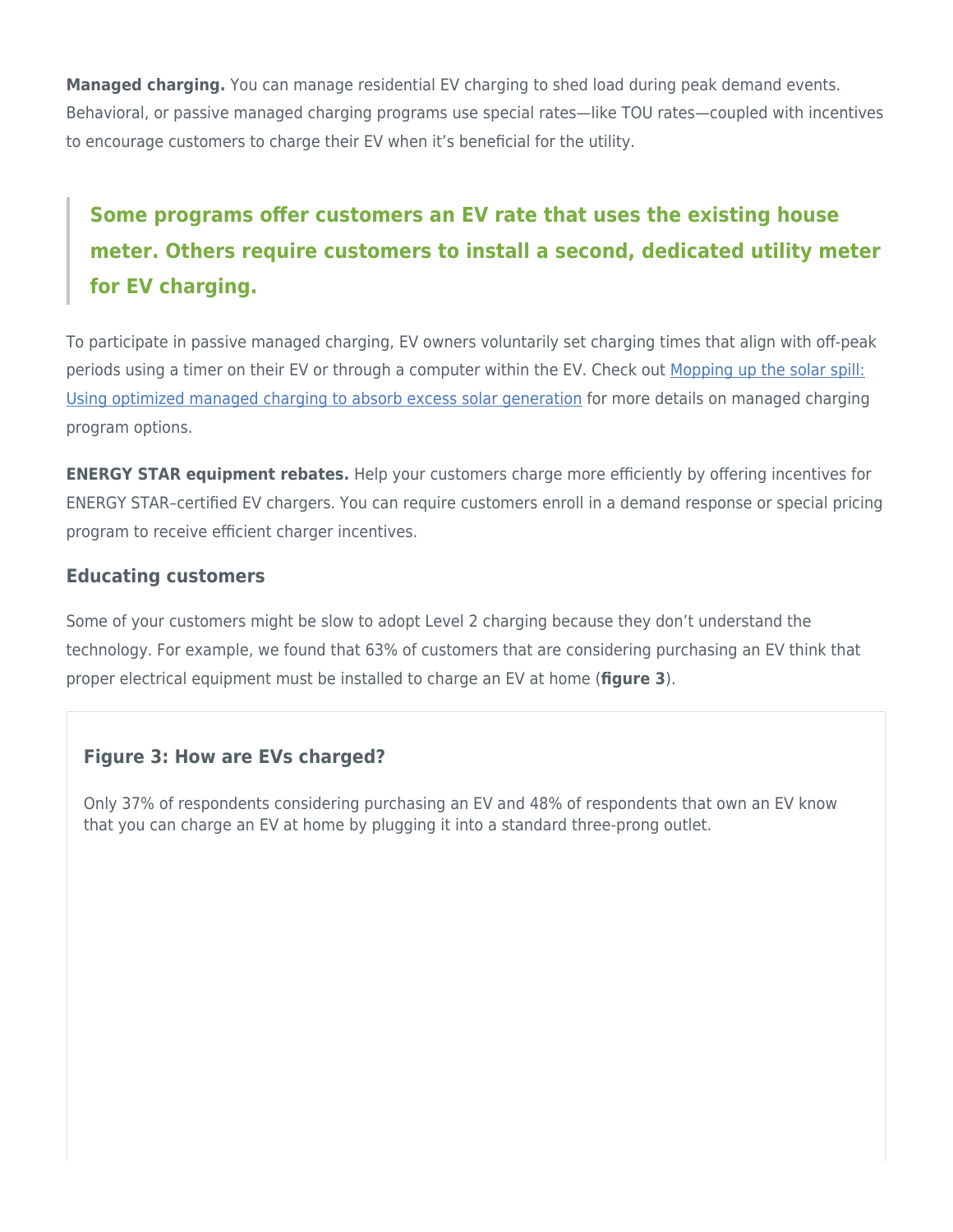**Managed charging.** You can manage residential EV charging to shed load during peak demand events. Behavioral, or passive managed charging programs use special rates—like TOU rates—coupled with incentives to encourage customers to charge their EV when it's beneficial for the utility.

# **Some programs offer customers an EV rate that uses the existing house meter. Others require customers to install a second, dedicated utility meter for EV charging.**

To participate in passive managed charging, EV owners voluntarily set charging times that align with off-peak periods using a timer on their EV or through a computer within the EV. Check out [Mopping up the solar spill:](https://www.esource.com/436191fjiv/mopping-solar-spill-using-optimized-managed-charging-absorb-excess-solar-generation) [Using optimized managed charging to absorb excess solar generation](https://www.esource.com/436191fjiv/mopping-solar-spill-using-optimized-managed-charging-absorb-excess-solar-generation) for more details on managed charging program options.

**ENERGY STAR equipment rebates.** Help your customers charge more efficiently by offering incentives for ENERGY STAR–certified EV chargers. You can require customers enroll in a demand response or special pricing program to receive efficient charger incentives.

#### **Educating customers**

Some of your customers might be slow to adopt Level 2 charging because they don't understand the technology. For example, we found that 63% of customers that are considering purchasing an EV think that proper electrical equipment must be installed to charge an EV at home (**figure 3**).

## **Figure 3: How are EVs charged?**

Only 37% of respondents considering purchasing an EV and 48% of respondents that own an EV know that you can charge an EV at home by plugging it into a standard three-prong outlet.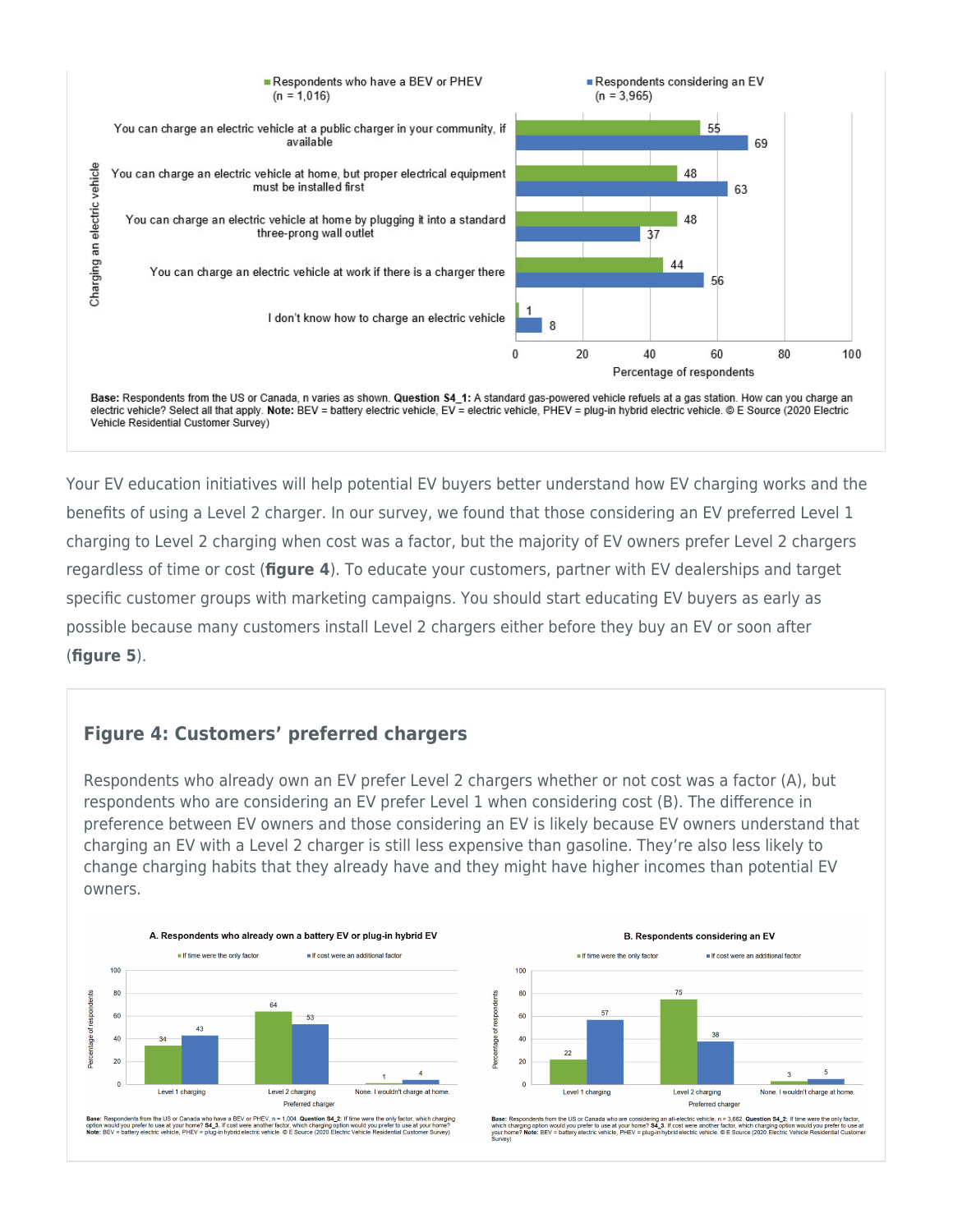

Your EV education initiatives will help potential EV buyers better understand how EV charging works and the benefits of using a Level 2 charger. In our survey, we found that those considering an EV preferred Level 1 charging to Level 2 charging when cost was a factor, but the majority of EV owners prefer Level 2 chargers regardless of time or cost (**figure 4**). To educate your customers, partner with EV dealerships and target specific customer groups with marketing campaigns. You should start educating EV buyers as early as possible because many customers install Level 2 chargers either before they buy an EV or soon after (**figure 5**).

## **Figure 4: Customers' preferred chargers**

Respondents who already own an EV prefer Level 2 chargers whether or not cost was a factor (A), but respondents who are considering an EV prefer Level 1 when considering cost (B). The difference in preference between EV owners and those considering an EV is likely because EV owners understand that charging an EV with a Level 2 charger is still less expensive than gasoline. They're also less likely to change charging habits that they already have and they might have higher incomes than potential EV owners.



Base: Respondents from the US or Canada who have a BEV or PHEV, n = 1,004. Question S4\_2: If time were the only factor, which charging<br>option would you prefer to use at your home? 34\_3. If cost were another factor, which



Base: Respondents from the US or Canada who are considering an all-electric vehicle, n = 3,662**. Question 54\_2:** If time were the only factor,<br>which charging option would you prefer to use at your home? 54\_3. If cost were